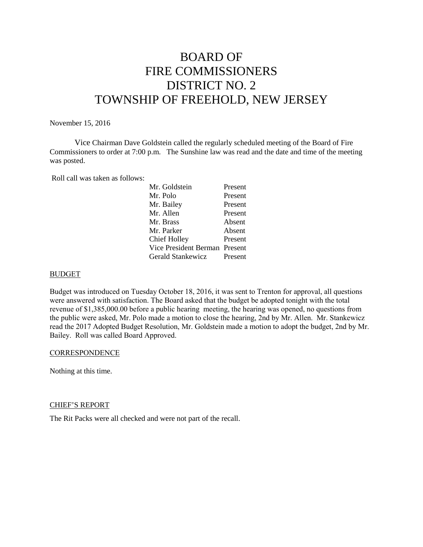# BOARD OF FIRE COMMISSIONERS DISTRICT NO. 2 TOWNSHIP OF FREEHOLD, NEW JERSEY

November 15, 2016

Vice Chairman Dave Goldstein called the regularly scheduled meeting of the Board of Fire Commissioners to order at 7:00 p.m. The Sunshine law was read and the date and time of the meeting was posted.

Roll call was taken as follows:

| Mr. Goldstein                 | Present |
|-------------------------------|---------|
| Mr. Polo                      | Present |
| Mr. Bailey                    | Present |
| Mr. Allen                     | Present |
| Mr. Brass                     | Absent  |
| Mr. Parker                    | Absent  |
| Chief Holley                  | Present |
| Vice President Berman Present |         |
| Gerald Stankewicz             | Present |
|                               |         |

#### BUDGET

Budget was introduced on Tuesday October 18, 2016, it was sent to Trenton for approval, all questions were answered with satisfaction. The Board asked that the budget be adopted tonight with the total revenue of \$1,385,000.00 before a public hearing meeting, the hearing was opened, no questions from the public were asked, Mr. Polo made a motion to close the hearing, 2nd by Mr. Allen. Mr. Stankewicz read the 2017 Adopted Budget Resolution, Mr. Goldstein made a motion to adopt the budget, 2nd by Mr. Bailey. Roll was called Board Approved.

#### **CORRESPONDENCE**

Nothing at this time.

#### CHIEF'S REPORT

The Rit Packs were all checked and were not part of the recall.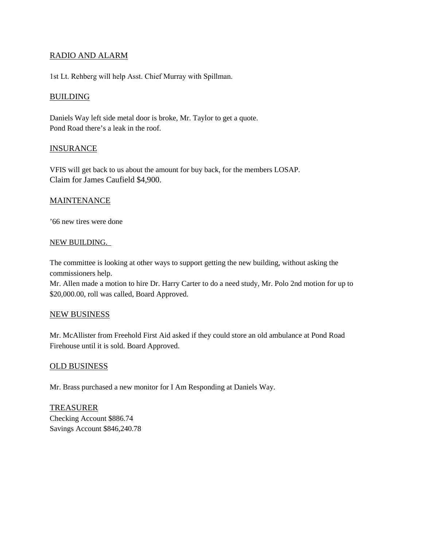## RADIO AND ALARM

1st Lt. Rehberg will help Asst. Chief Murray with Spillman.

## **BUILDING**

Daniels Way left side metal door is broke, Mr. Taylor to get a quote. Pond Road there's a leak in the roof.

## **INSURANCE**

VFIS will get back to us about the amount for buy back, for the members LOSAP. Claim for James Caufield \$4,900.

#### MAINTENANCE

'66 new tires were done

#### NEW BUILDING.

The committee is looking at other ways to support getting the new building, without asking the commissioners help.

Mr. Allen made a motion to hire Dr. Harry Carter to do a need study, Mr. Polo 2nd motion for up to \$20,000.00, roll was called, Board Approved.

#### NEW BUSINESS

Mr. McAllister from Freehold First Aid asked if they could store an old ambulance at Pond Road Firehouse until it is sold. Board Approved.

## OLD BUSINESS

Mr. Brass purchased a new monitor for I Am Responding at Daniels Way.

TREASURER Checking Account \$886.74 Savings Account \$846,240.78